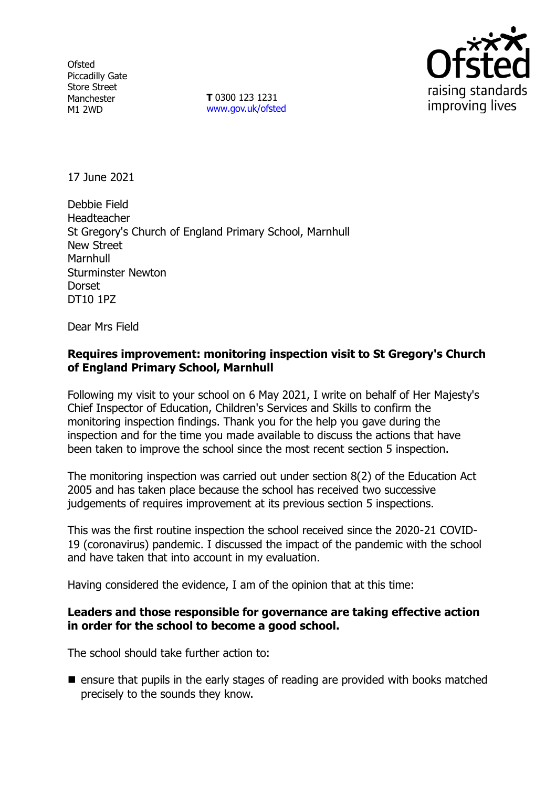**Ofsted** Piccadilly Gate Store Street Manchester M1 2WD

**T** 0300 123 1231 [www.gov.uk/ofsted](http://www.gov.uk/ofsted)



17 June 2021

Debbie Field Headteacher St Gregory's Church of England Primary School, Marnhull New Street **Marnhull** Sturminster Newton **Dorset** DT10 1PZ

Dear Mrs Field

#### **Requires improvement: monitoring inspection visit to St Gregory's Church of England Primary School, Marnhull**

Following my visit to your school on 6 May 2021, I write on behalf of Her Majesty's Chief Inspector of Education, Children's Services and Skills to confirm the monitoring inspection findings. Thank you for the help you gave during the inspection and for the time you made available to discuss the actions that have been taken to improve the school since the most recent section 5 inspection.

The monitoring inspection was carried out under section 8(2) of the Education Act 2005 and has taken place because the school has received two successive judgements of requires improvement at its previous section 5 inspections.

This was the first routine inspection the school received since the 2020-21 COVID-19 (coronavirus) pandemic. I discussed the impact of the pandemic with the school and have taken that into account in my evaluation.

Having considered the evidence, I am of the opinion that at this time:

### **Leaders and those responsible for governance are taking effective action in order for the school to become a good school.**

The school should take further action to:

■ ensure that pupils in the early stages of reading are provided with books matched precisely to the sounds they know.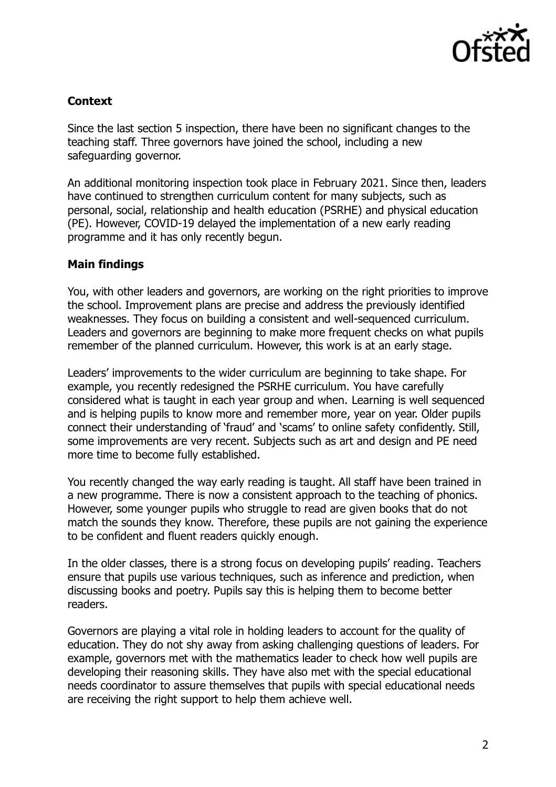

# **Context**

Since the last section 5 inspection, there have been no significant changes to the teaching staff. Three governors have joined the school, including a new safeguarding governor.

An additional monitoring inspection took place in February 2021. Since then, leaders have continued to strengthen curriculum content for many subjects, such as personal, social, relationship and health education (PSRHE) and physical education (PE). However, COVID-19 delayed the implementation of a new early reading programme and it has only recently begun.

### **Main findings**

You, with other leaders and governors, are working on the right priorities to improve the school. Improvement plans are precise and address the previously identified weaknesses. They focus on building a consistent and well-sequenced curriculum. Leaders and governors are beginning to make more frequent checks on what pupils remember of the planned curriculum. However, this work is at an early stage.

Leaders' improvements to the wider curriculum are beginning to take shape. For example, you recently redesigned the PSRHE curriculum. You have carefully considered what is taught in each year group and when. Learning is well sequenced and is helping pupils to know more and remember more, year on year. Older pupils connect their understanding of 'fraud' and 'scams' to online safety confidently. Still, some improvements are very recent. Subjects such as art and design and PE need more time to become fully established.

You recently changed the way early reading is taught. All staff have been trained in a new programme. There is now a consistent approach to the teaching of phonics. However, some younger pupils who struggle to read are given books that do not match the sounds they know. Therefore, these pupils are not gaining the experience to be confident and fluent readers quickly enough.

In the older classes, there is a strong focus on developing pupils' reading. Teachers ensure that pupils use various techniques, such as inference and prediction, when discussing books and poetry. Pupils say this is helping them to become better readers.

Governors are playing a vital role in holding leaders to account for the quality of education. They do not shy away from asking challenging questions of leaders. For example, governors met with the mathematics leader to check how well pupils are developing their reasoning skills. They have also met with the special educational needs coordinator to assure themselves that pupils with special educational needs are receiving the right support to help them achieve well.